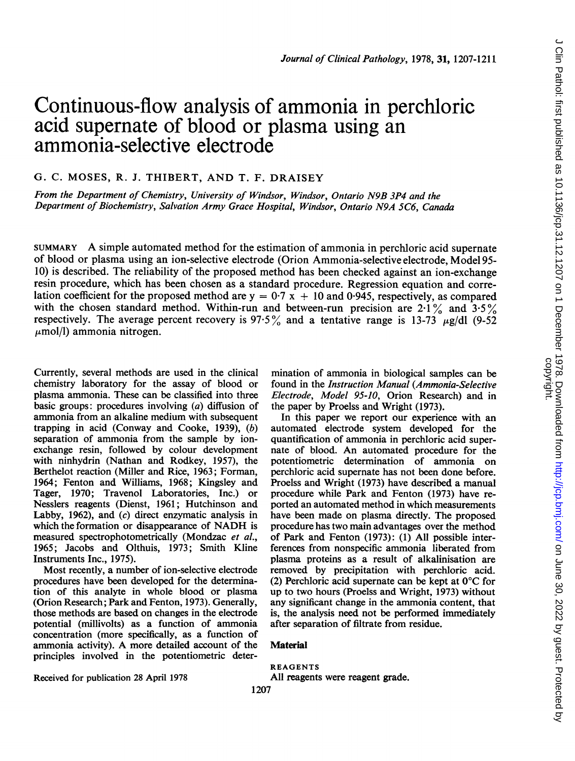# Continuous-flow analysis of ammonia in perchloric acid supernate of blood or plasma using an ammonia-selective electrode

G. C. MOSES, R. J. THIBERT, AND T. F. DRAISEY

From the Department of Chemistry, University of Windsor, Windsor, Ontario N9B 3P4 and the Department of Biochemistry, Salvation Army Grace Hospital, Windsor, Ontario N9A 5C6, Canada

SUMMARY A simple automated method for the estimation of ammonia in perchloric acid supernate of blood or plasma using an ion-selective electrode (Orion Ammonia-selective electrode, Model 95- 10) is described. The reliability of the proposed method has been checked against an ion-exchange resin procedure, which has been chosen as a standard procedure. Regression equation and correlation coefficient for the proposed method are  $y = 0.7 x + 10$  and 0.945, respectively, as compared with the chosen standard method. Within-run and between-run precision are 2.1% and  $3.5\%$ respectively. The average percent recovery is 97.5% and a tentative range is 13-73  $\mu$ g/dl (9-52)  $\mu$ mol/l) ammonia nitrogen.

Currently, several methods are used in the clinical chemistry laboratory for the assay of blood or plasma ammonia. These can be classified into three basic groups: procedures involving (a) diffusion of ammonia from an alkaline medium with subsequent trapping in acid (Conway and Cooke, 1939), (b) separation of ammonia from the sample by ionexchange resin, followed by colour development with ninhydrin (Nathan and Rodkey, 1957), the Berthelot reaction (Miller and Rice, 1963; Forman, 1964; Fenton and Williams, 1968; Kingsley and Tager, 1970; Travenol Laboratories, Inc.) or Nesslers reagents (Dienst, 1961; Hutchinson and Labby, 1962), and (c) direct enzymatic analysis in which the formation or disappearance of NADH is measured spectrophotometrically (Mondzac et al., 1965; Jacobs and Olthuis, 1973; Smith Kline Instruments Inc., 1975).

Most recently, a number of ion-selective electrode procedures have been developed for the determination of this analyte in whole blood or plasma (Orion Research; Park and Fenton, 1973). Generally, those methods are based on changes in the electrode potential (millivolts) as a function of ammonia concentration (more specifically, as a function of ammonia activity). A more detailed account of the principles involved in the potentiometric deter-

Received for publication 28 April 1978

mination of ammonia in biological samples can be found in the Instruction Manual (Ammonia-Selective Electrode, Model 95-10, Orion Research) and in the paper by Proelss and Wright (1973).

In this paper we report our experience with an automated electrode system developed for the quantification of ammonia in perchloric acid supernate of blood. An automated procedure for the potentiometric determination of ammonia on perchloric acid supernate has not been done before. Proelss and Wright (1973) have described a manual procedure while Park and Fenton (1973) have reported an automated method in which measurements have been made on plasma directly. The proposed procedure has two main advantages over the method of Park and Fenton (1973): (1) All possible interferences from nonspecific ammonia liberated from plasma proteins as a result of alkalinisation are removed by precipitation with perchloric acid. (2) Perchloric acid supernate can be kept at  $0^{\circ}$ C for up to two hours (Proelss and Wright, 1973) without any significant change in the ammonia content, that is, the analysis need not be performed immediately after separation of filtrate from residue.

#### Material

1207

REAGENTS All reagents were reagent grade.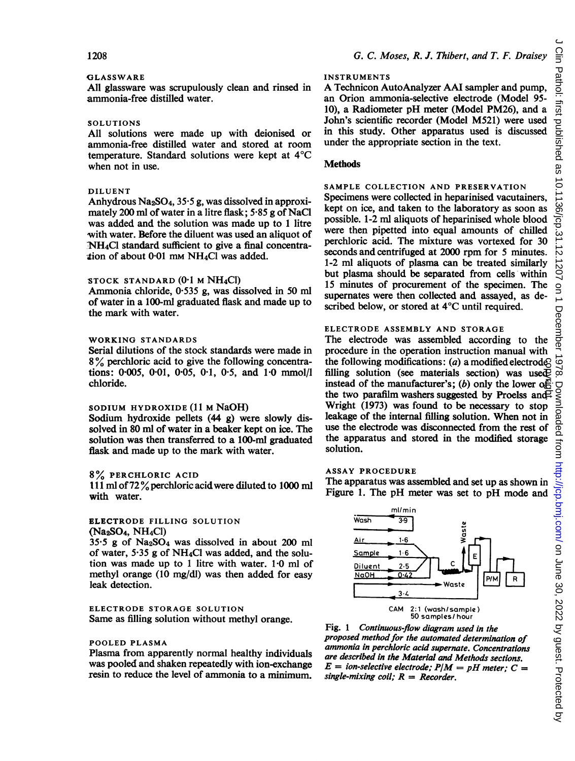## GLASSWARE

All glassware was scrupulously clean and rinsed in ammonia-free distilled water.

## SOLUTIONS

All solutions were made up with deionised or ammonia-free distilled water and stored at room temperature. Standard solutions were kept at  $4^{\circ}$ C when not in use.

## DILUENT

Anhydrous  $Na<sub>2</sub>SO<sub>4</sub>$ , 35.5 g, was dissolved in approximately 200 ml of water in a litre flask; 5-85 g of NaCi was added and the solution was made up to <sup>1</sup> litre with water. Before the diluent was used an aliquot of NH<sub>4</sub>Cl standard sufficient to give a final concentraition of about 0-01 mm NH4Cl was added.

## STOCK STANDARD (0-1 M NH4CI)

Ammonia chloride, 0.535 g, was dissolved in 50 ml of water in a 100-ml graduated flask and made up to the mark with water.

## WORKING STANDARDS

Serial dilutions of the stock standards were made in <sup>8</sup> % perchloric acid to give the following concentrations: 0-005, 0-01, 0-05, 0-1, 0\*5, and 1\*0 mmol/l chloride.

## SODIUM HYDROXIDE (11 M NaOH)

Sodium hydroxide pellets (44 g) were slowly dissolved in 80 ml of water in a beaker kept on ice. The solution was then transferred to a 100-ml graduated flask and made up to the mark with water.

#### 8% PERCHLORIC ACID

It <sup>1</sup> ml of<sup>72</sup> %perchloric acidwere diluted to <sup>1000</sup> ml with water.

## ELECTRODE FILLING SOLUTION (Na2SO4, NH4CI)

 $35.5$  g of Na<sub>2</sub>SO<sub>4</sub> was dissolved in about 200 ml of water, 5-35 g of NH4Cl was added, and the solution was made up to 1 litre with water. 1.0 ml of methyl orange (10 mg/dl) was then added for easy leak detection.

#### ELECTRODE STORAGE SOLUTION Same as filling solution without methyl orange.

#### POOLED PLASMA

Plasma from apparently normal healthy individuals was pooled and shaken repeatedly with ion-exchange resin to reduce the level of ammonia to a minimum.

## INSTRUMENTS

A Technicon AutoAnalyzer AAI sampler and pump, an Orion ammonia-selective electrode (Model 95- 10), a Radiometer pH meter (Model PM26), and a John's scientific recorder (Model M521) were used in this study. Other apparatus used is discussed under the appropriate section in the text.

## **Methods**

# SAMPLE COLLECTION AND PRESERVATION

Specimens were collected in heparinised vacutainers, kept on ice, and taken to the laboratory as soon as possible. 1-2 ml aliquots of heparinised whole blood were then pipetted into equal amounts of chilled perchloric acid. The mixture was vortexed for 30 seconds and centrifuged at 2000 rpm for <sup>5</sup> minutes. 1-2 ml aliquots of plasma can be treated similarly but plasma should be separated from cells within 15 minutes of procurement of the specimen. The supernates were then collected and assayed, as described below, or stored at 4°C until required.

# ELECTRODE ASSEMBLY AND STORAGE

The electrode was assembled according to the procedure in the operation instruction manual with the following modifications: (a) a modified electrode? filling solution (see materials section) was used $\bar{P}$ instead of the manufacturer's; (b) only the lower of the two parafilm washers suggested by Proelss and Wright (1973) was found to be necessary to stop leakage of the internal filling solution. When not in use the electrode was disconnected from the rest of the apparatus and stored in the modified storage solution. copyright.

#### ASSAY PROCEDURE

The apparatus was assembled and set up as shown in Figure 1. The pH meter was set to pH mode and



Fig. <sup>1</sup> Continuous-flow diagram used in the proposed method for the automated determination of ammonia in perchloric acid supernate. Concentrations are described in the Material and Methods sections.  $E =$  ion-selective electrode;  $P/M = pH$  meter;  $C =$ single-mixing coil;  $R =$  Recorder.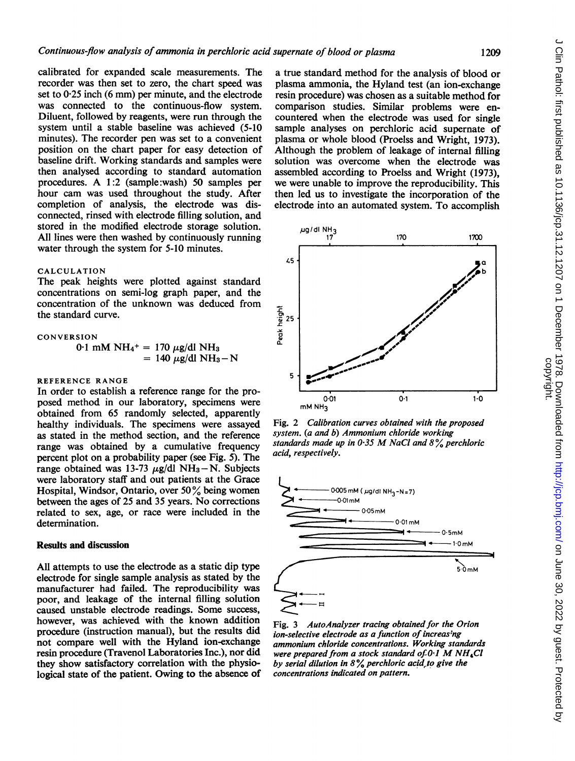calibrated for expanded scale measurements. The recorder was then set to zero, the chart speed was set to  $0.25$  inch  $(6 \text{ mm})$  per minute, and the electrode was connected to the continuous-flow system. Diluent, followed by reagents, were run through the system until a stable baseline was achieved (5-10 minutes). The recorder pen was set to a convenient position on the chart paper for easy detection of baseline drift. Working standards and samples were then analysed according to standard automation procedures. A 1:2 (sample:wash) <sup>50</sup> samples per hour cam was used throughout the study. After completion of analysis, the electrode was disconnected, rinsed with electrode filling solution, and stored in the modified electrode storage solution. All lines were then washed by continuously running water through the system for 5-10 minutes.

## CALCULATION

The peak heights were plotted against standard concentrations on semi-log graph paper, and the concentration of the unknown was deduced from the standard curve.

$$
\begin{array}{ll}\n\text{CONVERSION} \\
0.1 \text{ mM NH}_4{}^+ = 170 \text{ }\mu\text{g/dl NH}_3 \\
&= 140 \text{ }\mu\text{g/dl NH}_3 - \text{N}\n\end{array}
$$

## REFERENCE RANGE

In order to establish a reference range for the proposed method in our laboratory, specimens were obtained from 65 randomly selected, apparently healthy individuals. The specimens were assayed as stated in the method section, and the reference range was obtained by a cumulative frequency percent plot on a probability paper (see Fig. 5). The range obtained was 13-73  $\mu$ g/dl NH<sub>3</sub>-N. Subjects were laboratory staff and out patients at the Grace Hospital, Windsor, Ontario, over 50% being women between the ages of 25 and <sup>35</sup> years. No corrections related to sex, age, or race were included in the determination.

## Results and discussion

All attempts to use the electrode as a static dip type electrode for single sample analysis as stated by the manufacturer had failed. The reproducibility was poor, and leakage of the internal filling solution caused unstable electrode readings. Some success, however, was achieved with the known addition procedure (instruction manual), but the results did not compare well with the Hyland ion-exchange resin procedure (Travenol Laboratories Inc.), nor did they show satisfactory correlation with the physiological state of the patient. Owing to the absence of

a true standard method for the analysis of blood or plasma ammonia, the Hyland test (an ion-exchange resin procedure) was chosen as a suitable method for comparison studies. Similar problems were encountered when the electrode was used for single sample analyses on perchloric acid supernate of plasma or whole blood (Proelss and Wright, 1973). Although the problem of leakage of internal filling solution was overcome when the electrode was assembled according to Proelss and Wright (1973), we were unable to improve the reproducibility. This then led us to investigate the incorporation of the electrode into an automated system. To accomplish of blood or plasma<br>
andard method for the analysis of blood or<br>
mmonia, the Hyland test (an ion-exchange<br>
exelure) was chosen as a suitable method for<br>
on studies. Similar problems were en-<br>
alwhen the electrode was used f



Fig. 2 Calibration curves obtained with the proposed system. (a and b) Ammonium chloride working standards made up in 0.35 M NaCl and  $8\%$  perchloric acid, respectively.



Fig. 3 AutoAnalyzer tracing obtained for the Orion ion-selective electrode as a function of increasing ammonium chloride concentrations. Working standards were prepared from a stock standard of  $0.1$  M NH<sub>4</sub>Cl by serial dilution in  $8\%$  perchloric acid to give the concentrations indicated on pattern.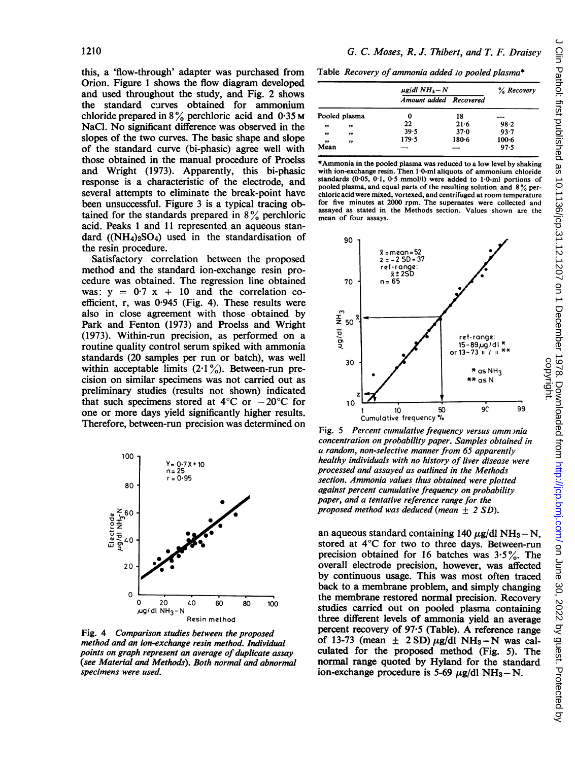this, a 'flow-through' adapter was purchased from Orion. Figure <sup>1</sup> shows the flow diagram developed and used throughout the study, and Fig. 2 shows the standard curves obtained for ammonium chloride prepared in  $8\%$  perchloric acid and 0.35 M NaCl. No significant difference was observed in the slopes of the two curves. The basic shape and slope of the standard curve (bi-phasic) agree well with those obtained in the manual procedure of Proelss and Wright (1973). Apparently, this bi-phasic response is a characteristic of the electrode, and several attempts to eliminate the break-point have been unsuccessful. Figure 3 is a typical tracing obtained for the standards prepared in  $8\%$  perchloric acid. Peaks <sup>1</sup> and 11 represented an aqueous standard  $((NH_4)_2SO_4)$  used in the standardisation of the resin procedure.

Satisfactory correlation between the proposed method and the standard ion-exchange resin procedure was obtained. The regression line obtained was:  $y = 0.7 x + 10$  and the correlation coefficient, r, was 0.945 (Fig. 4). These results were also in close agreement with those obtained by Park and Fenton (1973) and Proelss and Wright (1973). Within-run precision, as performed on a routine quality control serum spiked with ammonia standards (20 samples per run or batch), was well within acceptable limits  $(2.1\%)$ . Between-run precision on similar specimens was not carried out as preliminary studies (results not shown) indicated that such specimens stored at  $4^{\circ}$ C or  $-20^{\circ}$ C for one or more days yield significantly higher results. Therefore, between-run precision was determined on



Fig. 4 Comparison studies between the proposed method and an ion-exchange resin method points on graph represent an average of duplicate assay (see Material and Methods). Both normal and abnormal specimens were used.

Table Recovery of ammonia added to pooled plasma\*

|               |              | $\mu$ g/dl NH <sub>3</sub> – N |           | % Recovery |
|---------------|--------------|--------------------------------|-----------|------------|
|               |              | Amount added Recovered         |           |            |
| Pooled plasma |              | 0                              | 18        |            |
| ,,            | ,,           | 22                             | $21 - 6$  | 98.2       |
| ,,            | ,,           | 39.5                           | 37.0      | $93 - 7$   |
| ,,            | $^{\bullet}$ | 179.5                          | $180 - 6$ | $100 - 6$  |
| Mean          |              |                                |           | 97.5       |

\*Ammonia in the pooled plasma was reduced to a low level by shaking with ion-exchange resin. Then 1.0-ml aliquots of ammonium chloride standards (0.05, 0.1, 0.5 mmol/l) were added to 1.0-ml portions of pooled plasma, and equal parts of the resulting solution and <sup>8</sup> % perchloric acid were mixed, vortexed, and centrifuged at room temperature for five minutes at 2000 rpm. The supernates were collected and assayed as stated in the Methods section. Values shown are the mean of four assays.



Fig. <sup>5</sup> Percent cumulative frequency versus amm )nia concentration on probability paper. Samples obtained in a random, non-selective manner from 65 apparently healthy individuals with no history of liver disease were processed and assayed as outlined in the Methods section. Ammonia values thus obtained were plotted against percent cumulative frequency on probability paper, and a tentative reference range for the proposed method was deduced (mean  $\pm$  2 SD).

an aqueous standard containing 140  $\mu$ g/dl NH<sub>3</sub> - N, stored at  $4^{\circ}$ C for two to three days. Between-run precision obtained for 16 batches was  $3.5\%$ . The overall electrode precision, however, was affected by continuous usage. This was most often traced back to a membrane problem, and simply changing the membrane restored normal precision. Recovery 80 100 studies carried out on pooled plasma containing three different levels of ammonia yield an average percent recovery of 97.5 (Table). A reference range of 13-73 (mean  $\pm$  2 SD)  $\mu$ g/dl NH<sub>3</sub> - N was calculated for the proposed method (Fig. 5). The normal range quoted by Hyland for the standard ion-exchange procedure is 5-69  $\mu$ g/dl NH<sub>3</sub>-N.